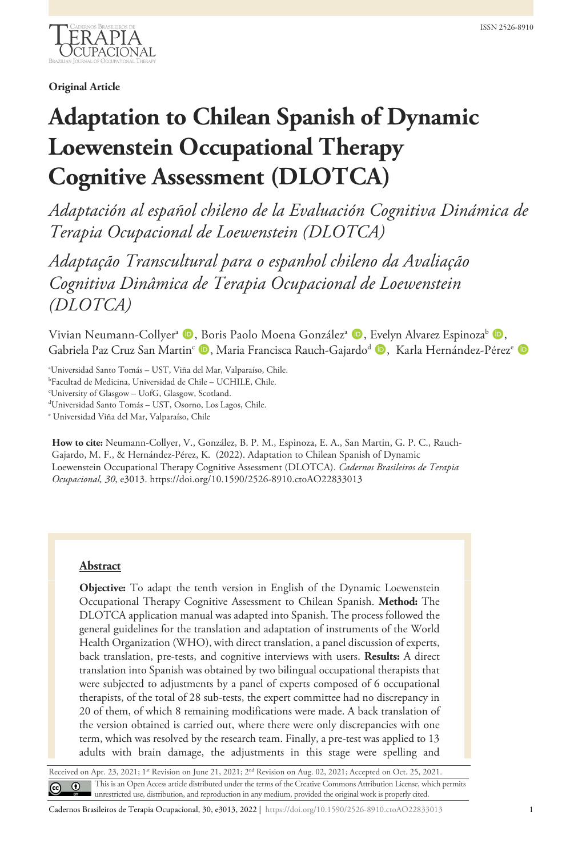

# **Original Article**

# **Adaptation to Chilean Spanish of Dynamic Loewenstein Occupational Therapy Cognitive Assessment (DLOTCA)**

*Adaptación al español chileno de la Evaluación Cognitiva Dinámica de Terapia Ocupacional de Loewenstein (DLOTCA)*

*Adaptação Transcultural para o espanhol chileno da Avaliação Cognitiva Dinâmica de Terapia Ocupacional de Loewenstein (DLOTCA)*

Vivian Neumann-Collyer<sup>a</sup> (D, Boris Paolo Moena González<sup>a (D</sup>), Evelyn Alvarez Espinoza<sup>b</sup> (D) Gabriela Paz Cruz San Martin<sup>c</sup> D, Maria Francisca Rauch-Gajardo<sup>d</sup> D, Karla Hernández-Pérez<sup>e</sup> D

a Universidad Santo Tomás – UST, Viña del Mar, Valparaíso, Chile.

c University of Glasgow – UofG, Glasgow, Scotland.

d Universidad Santo Tomás – UST, Osorno, Los Lagos, Chile.

<sup>e</sup> Universidad Viña del Mar, Valparaíso, Chile

**How to cite:** Neumann-Collyer, V., González, B. P. M., Espinoza, E. A., San Martin, G. P. C., Rauch-Gajardo, M. F., & Hernández-Pérez, K. (2022). Adaptation to Chilean Spanish of Dynamic Loewenstein Occupational Therapy Cognitive Assessment (DLOTCA). *Cadernos Brasileiros de Terapia Ocupacional, 30*, e3013. https://doi.org/10.1590/2526-8910.ctoAO22833013

## **Abstract**

**Objective:** To adapt the tenth version in English of the Dynamic Loewenstein Occupational Therapy Cognitive Assessment to Chilean Spanish. **Method:** The DLOTCA application manual was adapted into Spanish. The process followed the general guidelines for the translation and adaptation of instruments of the World Health Organization (WHO), with direct translation, a panel discussion of experts, back translation, pre-tests, and cognitive interviews with users. **Results:** A direct translation into Spanish was obtained by two bilingual occupational therapists that were subjected to adjustments by a panel of experts composed of 6 occupational therapists, of the total of 28 sub-tests, the expert committee had no discrepancy in 20 of them, of which 8 remaining modifications were made. A back translation of the version obtained is carried out, where there were only discrepancies with one term, which was resolved by the research team. Finally, a pre-test was applied to 13 adults with brain damage, the adjustments in this stage were spelling and

Received on Apr. 23, 2021; 1st Revision on June 21, 2021; 2<sup>nd</sup> Revision on Aug. 02, 2021; Accepted on Oct. 25, 2021. This is an Open Access article distributed under the terms of the Creative Commons Attribution License, which permits unrestricted use, distribution, and reproduction in any medium, provided the original work is properly cited.

b Facultad de Medicina, Universidad de Chile – UCHILE, Chile.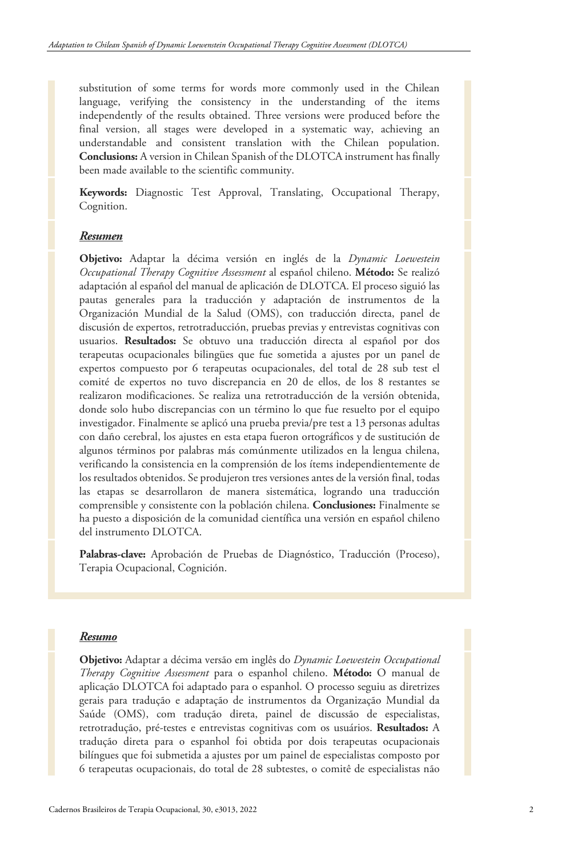substitution of some terms for words more commonly used in the Chilean language, verifying the consistency in the understanding of the items independently of the results obtained. Three versions were produced before the final version, all stages were developed in a systematic way, achieving an understandable and consistent translation with the Chilean population. **Conclusions:** A version in Chilean Spanish of the DLOTCA instrument has finally been made available to the scientific community.

**Keywords:** Diagnostic Test Approval, Translating, Occupational Therapy, Cognition.

#### *Resumen*

**Objetivo:** Adaptar la décima versión en inglés de la *Dynamic Loewestein Occupational Therapy Cognitive Assessment* al español chileno. **Método:** Se realizó adaptación al español del manual de aplicación de DLOTCA. El proceso siguió las pautas generales para la traducción y adaptación de instrumentos de la Organización Mundial de la Salud (OMS), con traducción directa, panel de discusión de expertos, retrotraducción, pruebas previas y entrevistas cognitivas con usuarios. **Resultados:** Se obtuvo una traducción directa al español por dos terapeutas ocupacionales bilingües que fue sometida a ajustes por un panel de expertos compuesto por 6 terapeutas ocupacionales, del total de 28 sub test el comité de expertos no tuvo discrepancia en 20 de ellos, de los 8 restantes se realizaron modificaciones. Se realiza una retrotraducción de la versión obtenida, donde solo hubo discrepancias con un término lo que fue resuelto por el equipo investigador. Finalmente se aplicó una prueba previa/pre test a 13 personas adultas con daño cerebral, los ajustes en esta etapa fueron ortográficos y de sustitución de algunos términos por palabras más comúnmente utilizados en la lengua chilena, verificando la consistencia en la comprensión de los ítems independientemente de los resultados obtenidos. Se produjeron tres versiones antes de la versión final, todas las etapas se desarrollaron de manera sistemática, logrando una traducción comprensible y consistente con la población chilena. **Conclusiones:** Finalmente se ha puesto a disposición de la comunidad científica una versión en español chileno del instrumento DLOTCA.

**Palabras-clave:** Aprobación de Pruebas de Diagnóstico, Traducción (Proceso), Terapia Ocupacional, Cognición.

#### *Resumo*

**Objetivo:** Adaptar a décima versão em inglês do *Dynamic Loewestein Occupational Therapy Cognitive Assessment* para o espanhol chileno. **Método:** O manual de aplicação DLOTCA foi adaptado para o espanhol. O processo seguiu as diretrizes gerais para tradução e adaptação de instrumentos da Organização Mundial da Saúde (OMS), com tradução direta, painel de discussão de especialistas, retrotradução, pré-testes e entrevistas cognitivas com os usuários. **Resultados:** A tradução direta para o espanhol foi obtida por dois terapeutas ocupacionais bilíngues que foi submetida a ajustes por um painel de especialistas composto por 6 terapeutas ocupacionais, do total de 28 subtestes, o comitê de especialistas não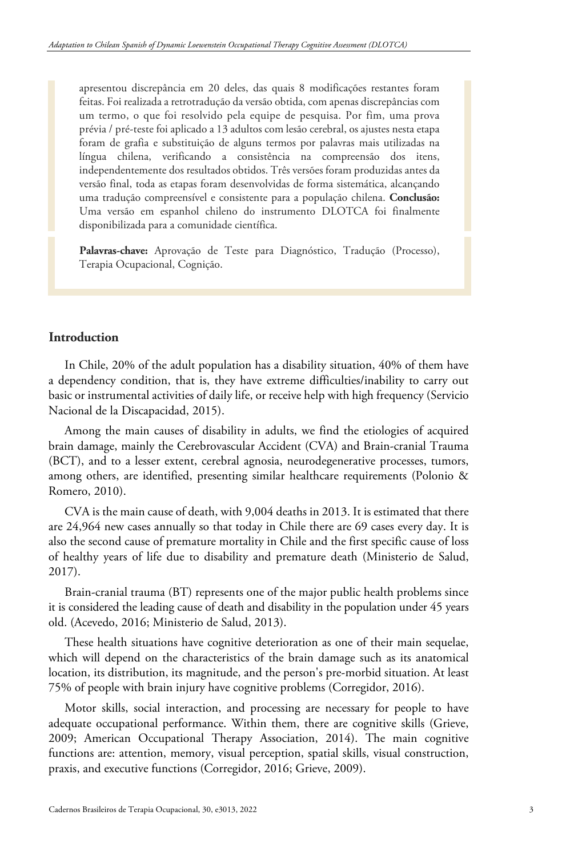apresentou discrepância em 20 deles, das quais 8 modificações restantes foram feitas. Foi realizada a retrotradução da versão obtida, com apenas discrepâncias com um termo, o que foi resolvido pela equipe de pesquisa. Por fim, uma prova prévia / pré-teste foi aplicado a 13 adultos com lesão cerebral, os ajustes nesta etapa foram de grafia e substituição de alguns termos por palavras mais utilizadas na língua chilena, verificando a consistência na compreensão dos itens, independentemente dos resultados obtidos. Três versões foram produzidas antes da versão final, toda as etapas foram desenvolvidas de forma sistemática, alcançando uma tradução compreensível e consistente para a população chilena. **Conclusão:** Uma versão em espanhol chileno do instrumento DLOTCA foi finalmente disponibilizada para a comunidade científica.

**Palavras-chave:** Aprovação de Teste para Diagnóstico, Tradução (Processo), Terapia Ocupacional, Cognição.

## **Introduction**

In Chile, 20% of the adult population has a disability situation, 40% of them have a dependency condition, that is, they have extreme difficulties/inability to carry out basic or instrumental activities of daily life, or receive help with high frequency (Servicio Nacional de la Discapacidad, 2015).

Among the main causes of disability in adults, we find the etiologies of acquired brain damage, mainly the Cerebrovascular Accident (CVA) and Brain-cranial Trauma (BCT), and to a lesser extent, cerebral agnosia, neurodegenerative processes, tumors, among others, are identified, presenting similar healthcare requirements (Polonio & Romero, 2010).

CVA is the main cause of death, with 9,004 deaths in 2013. It is estimated that there are 24,964 new cases annually so that today in Chile there are 69 cases every day. It is also the second cause of premature mortality in Chile and the first specific cause of loss of healthy years of life due to disability and premature death (Ministerio de Salud, 2017).

Brain-cranial trauma (BT) represents one of the major public health problems since it is considered the leading cause of death and disability in the population under 45 years old. (Acevedo, 2016; Ministerio de Salud, 2013).

These health situations have cognitive deterioration as one of their main sequelae, which will depend on the characteristics of the brain damage such as its anatomical location, its distribution, its magnitude, and the person's pre-morbid situation. At least 75% of people with brain injury have cognitive problems (Corregidor, 2016).

Motor skills, social interaction, and processing are necessary for people to have adequate occupational performance. Within them, there are cognitive skills (Grieve, 2009; American Occupational Therapy Association, 2014). The main cognitive functions are: attention, memory, visual perception, spatial skills, visual construction, praxis, and executive functions (Corregidor, 2016; Grieve, 2009).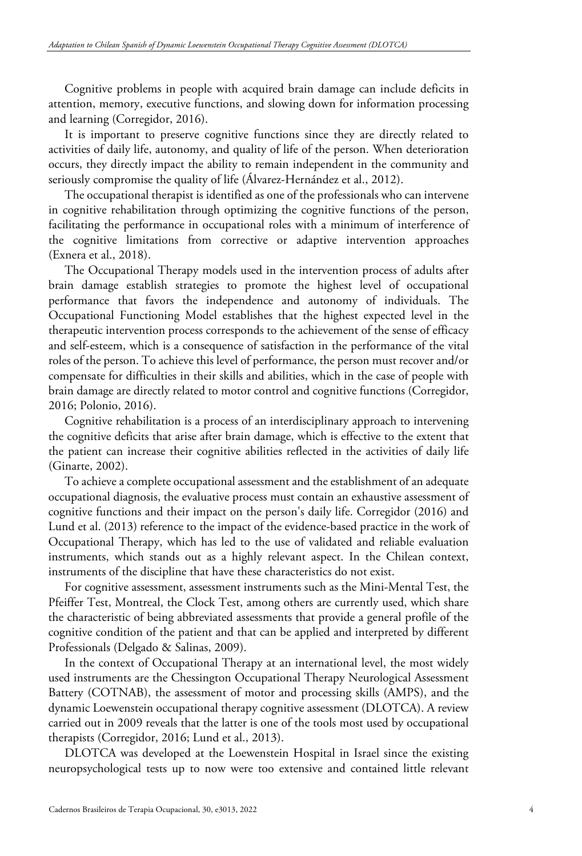Cognitive problems in people with acquired brain damage can include deficits in attention, memory, executive functions, and slowing down for information processing and learning (Corregidor, 2016).

It is important to preserve cognitive functions since they are directly related to activities of daily life, autonomy, and quality of life of the person. When deterioration occurs, they directly impact the ability to remain independent in the community and seriously compromise the quality of life (Álvarez-Hernández et al., 2012).

The occupational therapist is identified as one of the professionals who can intervene in cognitive rehabilitation through optimizing the cognitive functions of the person, facilitating the performance in occupational roles with a minimum of interference of the cognitive limitations from corrective or adaptive intervention approaches (Exnera et al., 2018).

The Occupational Therapy models used in the intervention process of adults after brain damage establish strategies to promote the highest level of occupational performance that favors the independence and autonomy of individuals. The Occupational Functioning Model establishes that the highest expected level in the therapeutic intervention process corresponds to the achievement of the sense of efficacy and self-esteem, which is a consequence of satisfaction in the performance of the vital roles of the person. To achieve this level of performance, the person must recover and/or compensate for difficulties in their skills and abilities, which in the case of people with brain damage are directly related to motor control and cognitive functions (Corregidor, 2016; Polonio, 2016).

Cognitive rehabilitation is a process of an interdisciplinary approach to intervening the cognitive deficits that arise after brain damage, which is effective to the extent that the patient can increase their cognitive abilities reflected in the activities of daily life (Ginarte, 2002).

To achieve a complete occupational assessment and the establishment of an adequate occupational diagnosis, the evaluative process must contain an exhaustive assessment of cognitive functions and their impact on the person's daily life. Corregidor (2016) and Lund et al. (2013) reference to the impact of the evidence-based practice in the work of Occupational Therapy, which has led to the use of validated and reliable evaluation instruments, which stands out as a highly relevant aspect. In the Chilean context, instruments of the discipline that have these characteristics do not exist.

For cognitive assessment, assessment instruments such as the Mini-Mental Test, the Pfeiffer Test, Montreal, the Clock Test, among others are currently used, which share the characteristic of being abbreviated assessments that provide a general profile of the cognitive condition of the patient and that can be applied and interpreted by different Professionals (Delgado & Salinas, 2009).

In the context of Occupational Therapy at an international level, the most widely used instruments are the Chessington Occupational Therapy Neurological Assessment Battery (COTNAB), the assessment of motor and processing skills (AMPS), and the dynamic Loewenstein occupational therapy cognitive assessment (DLOTCA). A review carried out in 2009 reveals that the latter is one of the tools most used by occupational therapists (Corregidor, 2016; Lund et al., 2013).

DLOTCA was developed at the Loewenstein Hospital in Israel since the existing neuropsychological tests up to now were too extensive and contained little relevant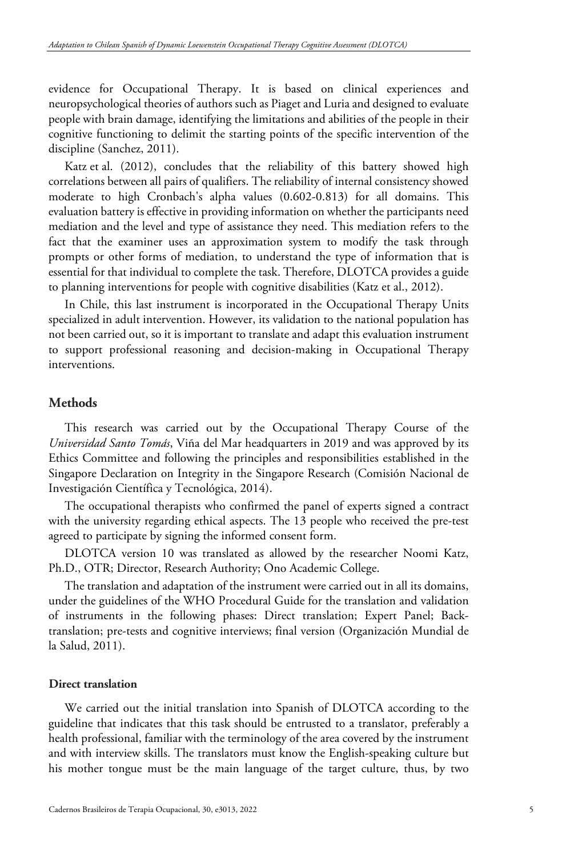evidence for Occupational Therapy. It is based on clinical experiences and neuropsychological theories of authors such as Piaget and Luria and designed to evaluate people with brain damage, identifying the limitations and abilities of the people in their cognitive functioning to delimit the starting points of the specific intervention of the discipline (Sanchez, 2011).

Katz et al. (2012), concludes that the reliability of this battery showed high correlations between all pairs of qualifiers. The reliability of internal consistency showed moderate to high Cronbach's alpha values (0.602-0.813) for all domains. This evaluation battery is effective in providing information on whether the participants need mediation and the level and type of assistance they need. This mediation refers to the fact that the examiner uses an approximation system to modify the task through prompts or other forms of mediation, to understand the type of information that is essential for that individual to complete the task. Therefore, DLOTCA provides a guide to planning interventions for people with cognitive disabilities (Katz et al., 2012).

In Chile, this last instrument is incorporated in the Occupational Therapy Units specialized in adult intervention. However, its validation to the national population has not been carried out, so it is important to translate and adapt this evaluation instrument to support professional reasoning and decision-making in Occupational Therapy interventions.

# **Methods**

This research was carried out by the Occupational Therapy Course of the *Universidad Santo Tomás*, Viña del Mar headquarters in 2019 and was approved by its Ethics Committee and following the principles and responsibilities established in the Singapore Declaration on Integrity in the Singapore Research (Comisión Nacional de Investigación Científica y Tecnológica, 2014).

The occupational therapists who confirmed the panel of experts signed a contract with the university regarding ethical aspects. The 13 people who received the pre-test agreed to participate by signing the informed consent form.

DLOTCA version 10 was translated as allowed by the researcher Noomi Katz, Ph.D., OTR; Director, Research Authority; Ono Academic College.

The translation and adaptation of the instrument were carried out in all its domains, under the guidelines of the WHO Procedural Guide for the translation and validation of instruments in the following phases: Direct translation; Expert Panel; Backtranslation; pre-tests and cognitive interviews; final version (Organización Mundial de la Salud, 2011).

### **Direct translation**

We carried out the initial translation into Spanish of DLOTCA according to the guideline that indicates that this task should be entrusted to a translator, preferably a health professional, familiar with the terminology of the area covered by the instrument and with interview skills. The translators must know the English-speaking culture but his mother tongue must be the main language of the target culture, thus, by two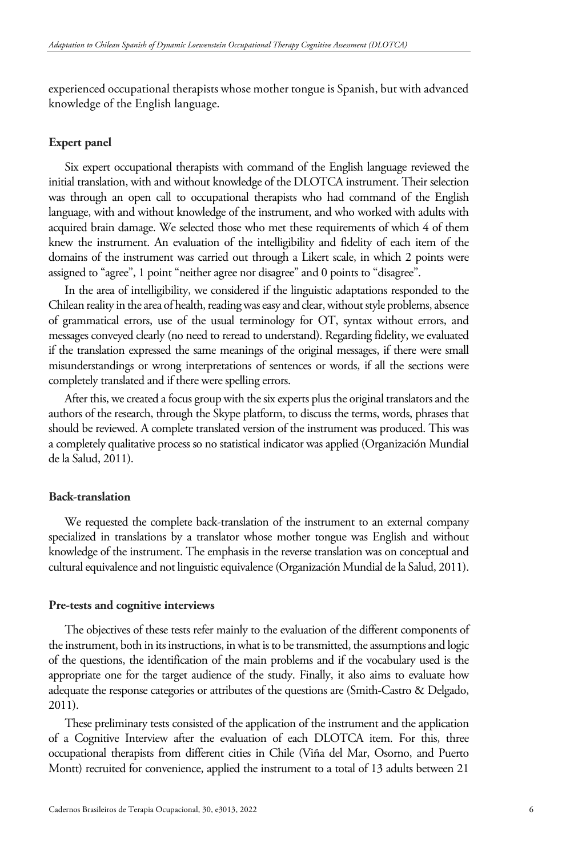experienced occupational therapists whose mother tongue is Spanish, but with advanced knowledge of the English language.

## **Expert panel**

Six expert occupational therapists with command of the English language reviewed the initial translation, with and without knowledge of the DLOTCA instrument. Their selection was through an open call to occupational therapists who had command of the English language, with and without knowledge of the instrument, and who worked with adults with acquired brain damage. We selected those who met these requirements of which 4 of them knew the instrument. An evaluation of the intelligibility and fidelity of each item of the domains of the instrument was carried out through a Likert scale, in which 2 points were assigned to "agree", 1 point "neither agree nor disagree" and 0 points to "disagree".

In the area of intelligibility, we considered if the linguistic adaptations responded to the Chilean reality in the area of health, reading was easy and clear, without style problems, absence of grammatical errors, use of the usual terminology for OT, syntax without errors, and messages conveyed clearly (no need to reread to understand). Regarding fidelity, we evaluated if the translation expressed the same meanings of the original messages, if there were small misunderstandings or wrong interpretations of sentences or words, if all the sections were completely translated and if there were spelling errors.

After this, we created a focus group with the six experts plus the original translators and the authors of the research, through the Skype platform, to discuss the terms, words, phrases that should be reviewed. A complete translated version of the instrument was produced. This was a completely qualitative process so no statistical indicator was applied (Organización Mundial de la Salud, 2011).

## **Back-translation**

We requested the complete back-translation of the instrument to an external company specialized in translations by a translator whose mother tongue was English and without knowledge of the instrument. The emphasis in the reverse translation was on conceptual and cultural equivalence and not linguistic equivalence (Organización Mundial de la Salud, 2011).

## **Pre-tests and cognitive interviews**

The objectives of these tests refer mainly to the evaluation of the different components of the instrument, both in its instructions, in what is to be transmitted, the assumptions and logic of the questions, the identification of the main problems and if the vocabulary used is the appropriate one for the target audience of the study. Finally, it also aims to evaluate how adequate the response categories or attributes of the questions are (Smith-Castro & Delgado, 2011).

These preliminary tests consisted of the application of the instrument and the application of a Cognitive Interview after the evaluation of each DLOTCA item. For this, three occupational therapists from different cities in Chile (Viña del Mar, Osorno, and Puerto Montt) recruited for convenience, applied the instrument to a total of 13 adults between 21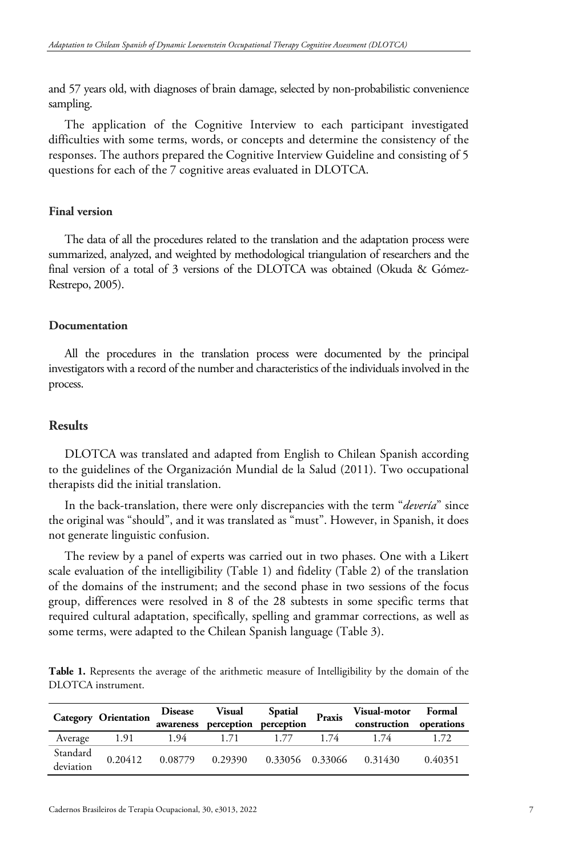and 57 years old, with diagnoses of brain damage, selected by non-probabilistic convenience sampling.

The application of the Cognitive Interview to each participant investigated difficulties with some terms, words, or concepts and determine the consistency of the responses. The authors prepared the Cognitive Interview Guideline and consisting of 5 questions for each of the 7 cognitive areas evaluated in DLOTCA.

## **Final version**

The data of all the procedures related to the translation and the adaptation process were summarized, analyzed, and weighted by methodological triangulation of researchers and the final version of a total of 3 versions of the DLOTCA was obtained (Okuda & Gómez-Restrepo, 2005).

## **Documentation**

All the procedures in the translation process were documented by the principal investigators with a record of the number and characteristics of the individuals involved in the process.

## **Results**

DLOTCA was translated and adapted from English to Chilean Spanish according to the guidelines of the Organización Mundial de la Salud (2011). Two occupational therapists did the initial translation.

In the back-translation, there were only discrepancies with the term "*devería*" since the original was "should", and it was translated as "must". However, in Spanish, it does not generate linguistic confusion.

The review by a panel of experts was carried out in two phases. One with a Likert scale evaluation of the intelligibility (Table 1) and fidelity (Table 2) of the translation of the domains of the instrument; and the second phase in two sessions of the focus group, differences were resolved in 8 of the 28 subtests in some specific terms that required cultural adaptation, specifically, spelling and grammar corrections, as well as some terms, were adapted to the Chilean Spanish language (Table 3).

**Table 1.** Represents the average of the arithmetic measure of Intelligibility by the domain of the DLOTCA instrument.

|                       | <b>Category Orientation</b> | <b>Disease</b><br>awareness | Visual                                  | Spatial<br>perception perception | Praxis | Visual-motor Formal<br>construction operations |         |
|-----------------------|-----------------------------|-----------------------------|-----------------------------------------|----------------------------------|--------|------------------------------------------------|---------|
| Average               | 1.91                        | 1.94                        | 1.71                                    | 1.77                             | 1.74   | 1.74                                           |         |
| Standard<br>deviation | 0.20412                     |                             | 0.08779 0.29390 0.33056 0.33066 0.31430 |                                  |        |                                                | 0.40351 |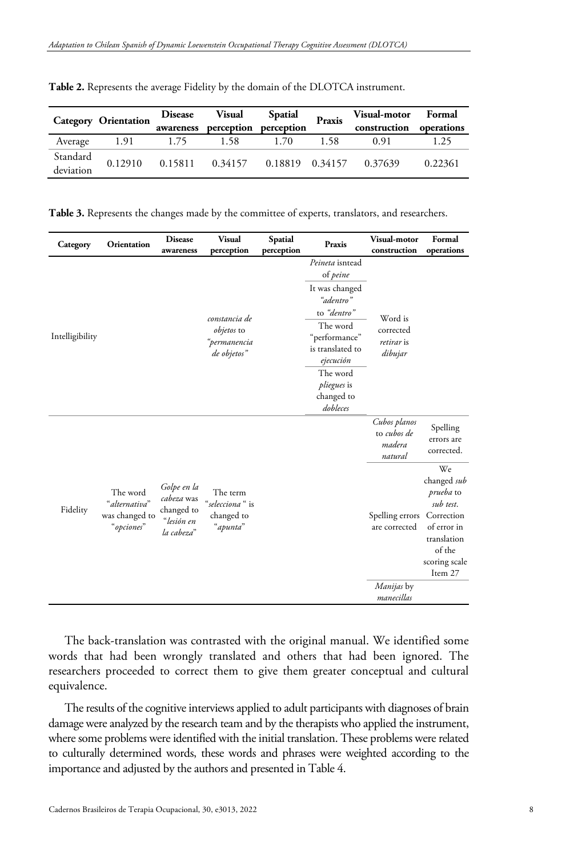|                       | <b>Category Orientation</b> |      | Disease Visual<br>awareness perception perception | Spatial | Praxis | Visual-motor Formal<br>construction operations |         |
|-----------------------|-----------------------------|------|---------------------------------------------------|---------|--------|------------------------------------------------|---------|
| Average               | 1.91                        | 1.75 | 1.58                                              | 1.70    | 1.58   | 0.91                                           | 1.25    |
| Standard<br>deviation | 0.12910                     |      | 0.15811 0.34157 0.18819 0.34157 0.37639           |         |        |                                                | 0.22361 |

**Table 2.** Represents the average Fidelity by the domain of the DLOTCA instrument.

**Table 3.** Represents the changes made by the committee of experts, translators, and researchers.

| Category        | Orientation                                               | <b>Disease</b><br>awareness                                         | <b>Visual</b><br>perception                                       | Spatial<br>perception | Praxis                                                     | Visual-motor<br>construction                     | Formal<br>operations                                                                                                                 |
|-----------------|-----------------------------------------------------------|---------------------------------------------------------------------|-------------------------------------------------------------------|-----------------------|------------------------------------------------------------|--------------------------------------------------|--------------------------------------------------------------------------------------------------------------------------------------|
| Intelligibility |                                                           |                                                                     |                                                                   |                       | Peineta isntead<br>of <i>peine</i>                         |                                                  |                                                                                                                                      |
|                 |                                                           |                                                                     |                                                                   |                       | It was changed<br>"adentro"<br>to "dentro"                 |                                                  |                                                                                                                                      |
|                 |                                                           |                                                                     | constancia de<br><i>objetos</i> to<br>"permanencia<br>de objetos" |                       | The word<br>"performance"<br>is translated to<br>ejecución | Word is<br>corrected<br>retirar is<br>dibujar    |                                                                                                                                      |
|                 |                                                           |                                                                     |                                                                   |                       | The word<br><i>pliegues</i> is<br>changed to<br>dobleces   |                                                  |                                                                                                                                      |
| Fidelity        | The word<br>"alternativa"<br>was changed to<br>"opciones" | Golpe en la<br>cabeza was<br>changed to<br>"lesión en<br>la cabeza" | The term<br>"selecciona" is<br>changed to<br>"apunta"             |                       |                                                            | Cubos planos<br>to cubos de<br>madera<br>natural | Spelling<br>errors are<br>corrected.                                                                                                 |
|                 |                                                           |                                                                     |                                                                   |                       |                                                            | Spelling errors<br>are corrected                 | We<br>changed sub<br><i>prueba</i> to<br>sub test.<br>Correction<br>of error in<br>translation<br>of the<br>scoring scale<br>Item 27 |
|                 |                                                           |                                                                     |                                                                   |                       |                                                            | <i>Manijas</i> by<br>manecillas                  |                                                                                                                                      |

The back-translation was contrasted with the original manual. We identified some words that had been wrongly translated and others that had been ignored. The researchers proceeded to correct them to give them greater conceptual and cultural equivalence.

The results of the cognitive interviews applied to adult participants with diagnoses of brain damage were analyzed by the research team and by the therapists who applied the instrument, where some problems were identified with the initial translation. These problems were related to culturally determined words, these words and phrases were weighted according to the importance and adjusted by the authors and presented in Table 4.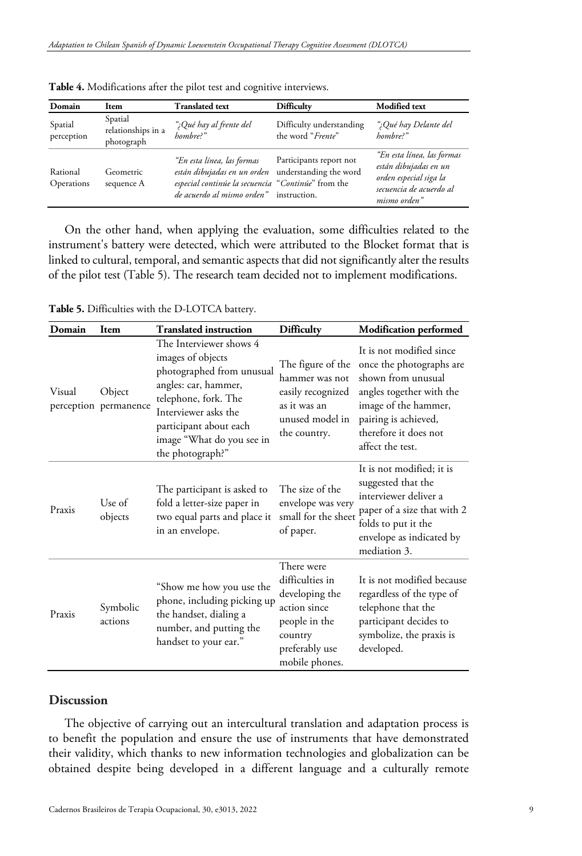| Domain                 | <b>Item</b>                                 | <b>Translated text</b>                                                                                                                                                                    | <b>Difficulty</b>                             | <b>Modified</b> text                                                                                                     |
|------------------------|---------------------------------------------|-------------------------------------------------------------------------------------------------------------------------------------------------------------------------------------------|-----------------------------------------------|--------------------------------------------------------------------------------------------------------------------------|
| Spatial<br>perception  | Spatial<br>relationships in a<br>photograph | ";Qué hay al frente del<br>hombre?"                                                                                                                                                       | Difficulty understanding<br>the word "Frente" | ";Qué hay Delante del<br>hombre?"                                                                                        |
| Rational<br>Operations | Geometric<br>sequence A                     | "En esta línea, las formas<br>están dibujadas en un orden understanding the word<br>especial continúe la secuencia "Continúe" from the<br><i>de acuerdo al mismo orden</i> " instruction. | Participants report not                       | "En esta línea, las formas<br>están dibujadas en un<br>orden especial siga la<br>secuencia de acuerdo al<br>mismo orden" |

**Table 4.** Modifications after the pilot test and cognitive interviews.

On the other hand, when applying the evaluation, some difficulties related to the instrument's battery were detected, which were attributed to the Blocket format that is linked to cultural, temporal, and semantic aspects that did not significantly alter the results of the pilot test (Table 5). The research team decided not to implement modifications.

**Table 5.** Difficulties with the D-LOTCA battery.

| Domain | Item                            | <b>Translated instruction</b>                                                                                                                                                                                                | <b>Difficulty</b>                                                                                                               | <b>Modification performed</b>                                                                                                                                                                       |
|--------|---------------------------------|------------------------------------------------------------------------------------------------------------------------------------------------------------------------------------------------------------------------------|---------------------------------------------------------------------------------------------------------------------------------|-----------------------------------------------------------------------------------------------------------------------------------------------------------------------------------------------------|
| Visual | Object<br>perception permanence | The Interviewer shows 4<br>images of objects<br>photographed from unusual<br>angles: car, hammer,<br>telephone, fork. The<br>Interviewer asks the<br>participant about each<br>image "What do you see in<br>the photograph?" | The figure of the<br>hammer was not<br>easily recognized<br>as it was an<br>unused model in<br>the country.                     | It is not modified since<br>once the photographs are<br>shown from unusual<br>angles together with the<br>image of the hammer,<br>pairing is achieved,<br>therefore it does not<br>affect the test. |
| Praxis | Use of<br>objects               | The participant is asked to<br>fold a letter-size paper in<br>two equal parts and place it<br>in an envelope.                                                                                                                | The size of the<br>envelope was very<br>small for the sheet<br>of paper.                                                        | It is not modified; it is<br>suggested that the<br>interviewer deliver a<br>paper of a size that with 2<br>folds to put it the<br>envelope as indicated by<br>mediation 3.                          |
| Praxis | Symbolic<br>actions             | "Show me how you use the<br>phone, including picking up<br>the handset, dialing a<br>number, and putting the<br>handset to your ear."                                                                                        | There were<br>difficulties in<br>developing the<br>action since<br>people in the<br>country<br>preferably use<br>mobile phones. | It is not modified because<br>regardless of the type of<br>telephone that the<br>participant decides to<br>symbolize, the praxis is<br>developed.                                                   |

## **Discussion**

The objective of carrying out an intercultural translation and adaptation process is to benefit the population and ensure the use of instruments that have demonstrated their validity, which thanks to new information technologies and globalization can be obtained despite being developed in a different language and a culturally remote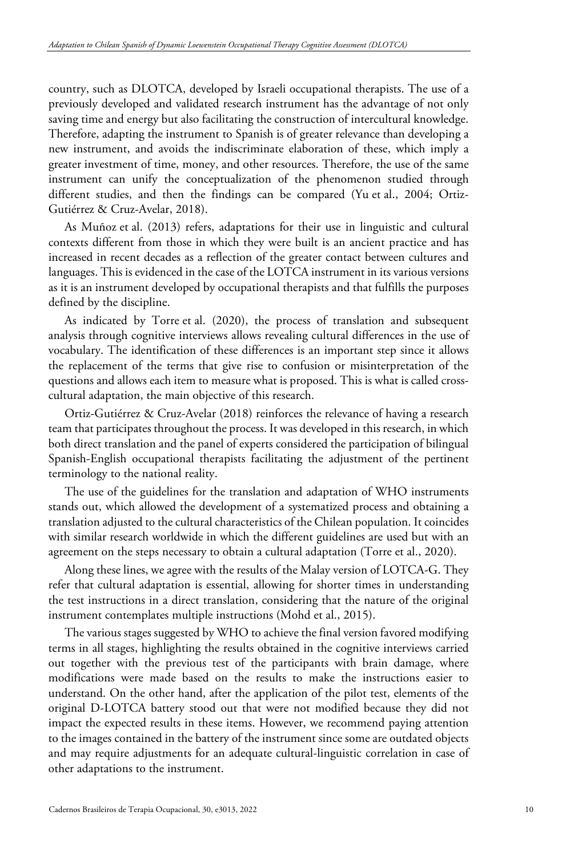country, such as DLOTCA, developed by Israeli occupational therapists. The use of a previously developed and validated research instrument has the advantage of not only saving time and energy but also facilitating the construction of intercultural knowledge. Therefore, adapting the instrument to Spanish is of greater relevance than developing a new instrument, and avoids the indiscriminate elaboration of these, which imply a greater investment of time, money, and other resources. Therefore, the use of the same instrument can unify the conceptualization of the phenomenon studied through different studies, and then the findings can be compared (Yu et al., 2004; Ortiz-Gutiérrez & Cruz-Avelar, 2018).

As Muñoz et al. (2013) refers, adaptations for their use in linguistic and cultural contexts different from those in which they were built is an ancient practice and has increased in recent decades as a reflection of the greater contact between cultures and languages. This is evidenced in the case of the LOTCA instrument in its various versions as it is an instrument developed by occupational therapists and that fulfills the purposes defined by the discipline.

As indicated by Torre et al. (2020), the process of translation and subsequent analysis through cognitive interviews allows revealing cultural differences in the use of vocabulary. The identification of these differences is an important step since it allows the replacement of the terms that give rise to confusion or misinterpretation of the questions and allows each item to measure what is proposed. This is what is called crosscultural adaptation, the main objective of this research.

Ortiz-Gutiérrez & Cruz-Avelar (2018) reinforces the relevance of having a research team that participates throughout the process. It was developed in this research, in which both direct translation and the panel of experts considered the participation of bilingual Spanish-English occupational therapists facilitating the adjustment of the pertinent terminology to the national reality.

The use of the guidelines for the translation and adaptation of WHO instruments stands out, which allowed the development of a systematized process and obtaining a translation adjusted to the cultural characteristics of the Chilean population. It coincides with similar research worldwide in which the different guidelines are used but with an agreement on the steps necessary to obtain a cultural adaptation (Torre et al., 2020).

Along these lines, we agree with the results of the Malay version of LOTCA-G. They refer that cultural adaptation is essential, allowing for shorter times in understanding the test instructions in a direct translation, considering that the nature of the original instrument contemplates multiple instructions (Mohd et al., 2015).

The various stages suggested by WHO to achieve the final version favored modifying terms in all stages, highlighting the results obtained in the cognitive interviews carried out together with the previous test of the participants with brain damage, where modifications were made based on the results to make the instructions easier to understand. On the other hand, after the application of the pilot test, elements of the original D-LOTCA battery stood out that were not modified because they did not impact the expected results in these items. However, we recommend paying attention to the images contained in the battery of the instrument since some are outdated objects and may require adjustments for an adequate cultural-linguistic correlation in case of other adaptations to the instrument.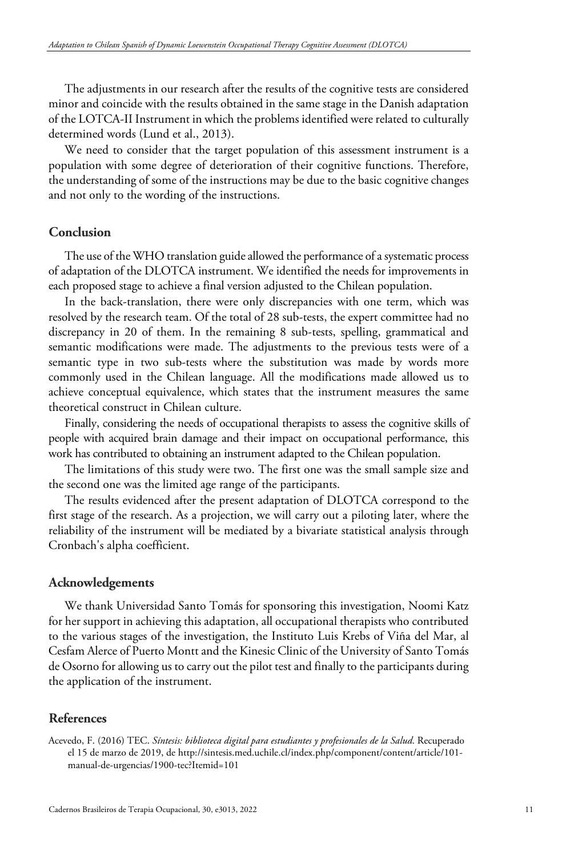The adjustments in our research after the results of the cognitive tests are considered minor and coincide with the results obtained in the same stage in the Danish adaptation of the LOTCA-II Instrument in which the problems identified were related to culturally determined words (Lund et al., 2013).

We need to consider that the target population of this assessment instrument is a population with some degree of deterioration of their cognitive functions. Therefore, the understanding of some of the instructions may be due to the basic cognitive changes and not only to the wording of the instructions.

## **Conclusion**

The use of the WHO translation guide allowed the performance of a systematic process of adaptation of the DLOTCA instrument. We identified the needs for improvements in each proposed stage to achieve a final version adjusted to the Chilean population.

In the back-translation, there were only discrepancies with one term, which was resolved by the research team. Of the total of 28 sub-tests, the expert committee had no discrepancy in 20 of them. In the remaining 8 sub-tests, spelling, grammatical and semantic modifications were made. The adjustments to the previous tests were of a semantic type in two sub-tests where the substitution was made by words more commonly used in the Chilean language. All the modifications made allowed us to achieve conceptual equivalence, which states that the instrument measures the same theoretical construct in Chilean culture.

Finally, considering the needs of occupational therapists to assess the cognitive skills of people with acquired brain damage and their impact on occupational performance, this work has contributed to obtaining an instrument adapted to the Chilean population.

The limitations of this study were two. The first one was the small sample size and the second one was the limited age range of the participants.

The results evidenced after the present adaptation of DLOTCA correspond to the first stage of the research. As a projection, we will carry out a piloting later, where the reliability of the instrument will be mediated by a bivariate statistical analysis through Cronbach's alpha coefficient.

### **Acknowledgements**

We thank Universidad Santo Tomás for sponsoring this investigation, Noomi Katz for her support in achieving this adaptation, all occupational therapists who contributed to the various stages of the investigation, the Instituto Luis Krebs of Viña del Mar, al Cesfam Alerce of Puerto Montt and the Kinesic Clinic of the University of Santo Tomás de Osorno for allowing us to carry out the pilot test and finally to the participants during the application of the instrument.

## **References**

Acevedo, F. (2016) TEC. *Síntesis: biblioteca digital para estudiantes y profesionales de la Salud*. Recuperado el 15 de marzo de 2019, de http://sintesis.med.uchile.cl/index.php/component/content/article/101 manual-de-urgencias/1900-tec?Itemid=101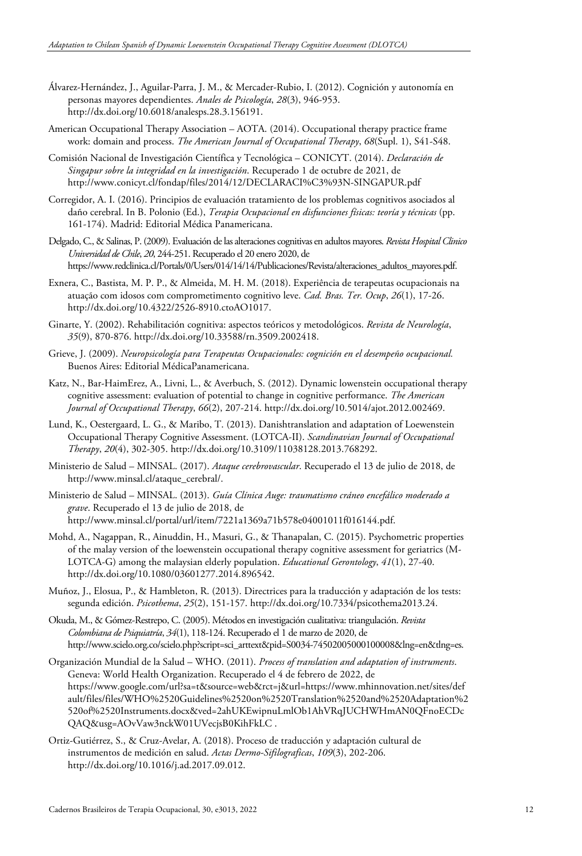- Álvarez-Hernández, J., Aguilar-Parra, J. M., & Mercader-Rubio, I. (2012). Cognición y autonomía en personas mayores dependientes. *Anales de Psicología*, *28*(3), 946-953. http://dx.doi.org/10.6018/analesps.28.3.156191.
- American Occupational Therapy Association AOTA. (2014). Occupational therapy practice frame work: domain and process. *The American Journal of Occupational Therapy*, *68*(Supl. 1), S41-S48.
- Comisión Nacional de Investigación Científica y Tecnológica CONICYT. (2014). *Declaración de Singapur sobre la integridad en la investigación*. Recuperado 1 de octubre de 2021, de http://www.conicyt.cl/fondap/files/2014/12/DECLARACI%C3%93N-SINGAPUR.pdf
- Corregidor, A. I. (2016). Principios de evaluación tratamiento de los problemas cognitivos asociados al daño cerebral. In B. Polonio (Ed.), *Terapia Ocupacional en disfunciones físicas: teoría y técnicas* (pp. 161-174). Madrid: Editorial Médica Panamericana.
- Delgado, C., & Salinas, P. (2009). Evaluación de las alteraciones cognitivas en adultos mayores. *Revista Hospital Clinico Universidad de Chile*, *20*, 244-251. Recuperado el 20 enero 2020, de https://www.redclinica.cl/Portals/0/Users/014/14/14/Publicaciones/Revista/alteraciones\_adultos\_mayores.pdf.
- Exnera, C., Bastista, M. P. P., & Almeida, M. H. M. (2018). Experiência de terapeutas ocupacionais na atuação com idosos com comprometimento cognitivo leve. *Cad. Bras. Ter. Ocup*, *26*(1), 17-26. http://dx.doi.org/10.4322/2526-8910.ctoAO1017.
- Ginarte, Y. (2002). Rehabilitación cognitiva: aspectos teóricos y metodológicos. *Revista de Neurología*, *35*(9), 870-876. http://dx.doi.org/10.33588/rn.3509.2002418.
- Grieve, J. (2009). *Neuropsicología para Terapeutas Ocupacionales: cognición en el desempeño ocupacional.* Buenos Aires: Editorial MédicaPanamericana.
- Katz, N., Bar-HaimErez, A., Livni, L., & Averbuch, S. (2012). Dynamic lowenstein occupational therapy cognitive assessment: evaluation of potential to change in cognitive performance. *The American Journal of Occupational Therapy*, *66*(2), 207-214. http://dx.doi.org/10.5014/ajot.2012.002469.
- Lund, K., Oestergaard, L. G., & Maribo, T. (2013). Danishtranslation and adaptation of Loewenstein Occupational Therapy Cognitive Assessment. (LOTCA-II). *Scandinavian Journal of Occupational Therapy*, *20*(4), 302-305. http://dx.doi.org/10.3109/11038128.2013.768292.
- Ministerio de Salud MINSAL. (2017). *Ataque cerebrovascular*. Recuperado el 13 de julio de 2018, de http://www.minsal.cl/ataque\_cerebral/.
- Ministerio de Salud MINSAL. (2013). *Guía Clínica Auge: traumatismo cráneo encefálico moderado a grave*. Recuperado el 13 de julio de 2018, de http://www.minsal.cl/portal/url/item/7221a1369a71b578e04001011f016144.pdf.
- Mohd, A., Nagappan, R., Ainuddin, H., Masuri, G., & Thanapalan, C. (2015). Psychometric properties of the malay version of the loewenstein occupational therapy cognitive assessment for geriatrics (M-LOTCA-G) among the malaysian elderly population. *Educational Gerontology*, *41*(1), 27-40. http://dx.doi.org/10.1080/03601277.2014.896542.
- Muñoz, J., Elosua, P., & Hambleton, R. (2013). Directrices para la traducción y adaptación de los tests: segunda edición. *Psicothema*, *25*(2), 151-157. http://dx.doi.org/10.7334/psicothema2013.24.
- Okuda, M., & Gómez-Restrepo, C. (2005). Métodos en investigación cualitativa: triangulación. *Revista Colombiana de Psiquiatría*, *34*(1), 118-124. Recuperado el 1 de marzo de 2020, de http://www.scielo.org.co/scielo.php?script=sci\_arttext&pid=S0034-74502005000100008&lng=en&tlng=es.
- Organización Mundial de la Salud WHO. (2011). *Process of translation and adaptation of instruments*. Geneva: World Health Organization. Recuperado el 4 de febrero de 2022, de https://www.google.com/url?sa=t&source=web&rct=j&url=https://www.mhinnovation.net/sites/def ault/files/files/WHO%2520Guidelines%2520on%2520Translation%2520and%2520Adaptation%2 520of%2520Instruments.docx&ved=2ahUKEwipnuLmlOb1AhVRqJUCHWHmAN0QFnoECDc QAQ&usg=AOvVaw3nckW01UVecjsB0KihFkLC .
- Ortiz-Gutiérrez, S., & Cruz-Avelar, A. (2018). Proceso de traducción y adaptación cultural de instrumentos de medición en salud. *Actas Dermo-Sifilograficas*, *109*(3), 202-206. http://dx.doi.org/10.1016/j.ad.2017.09.012.